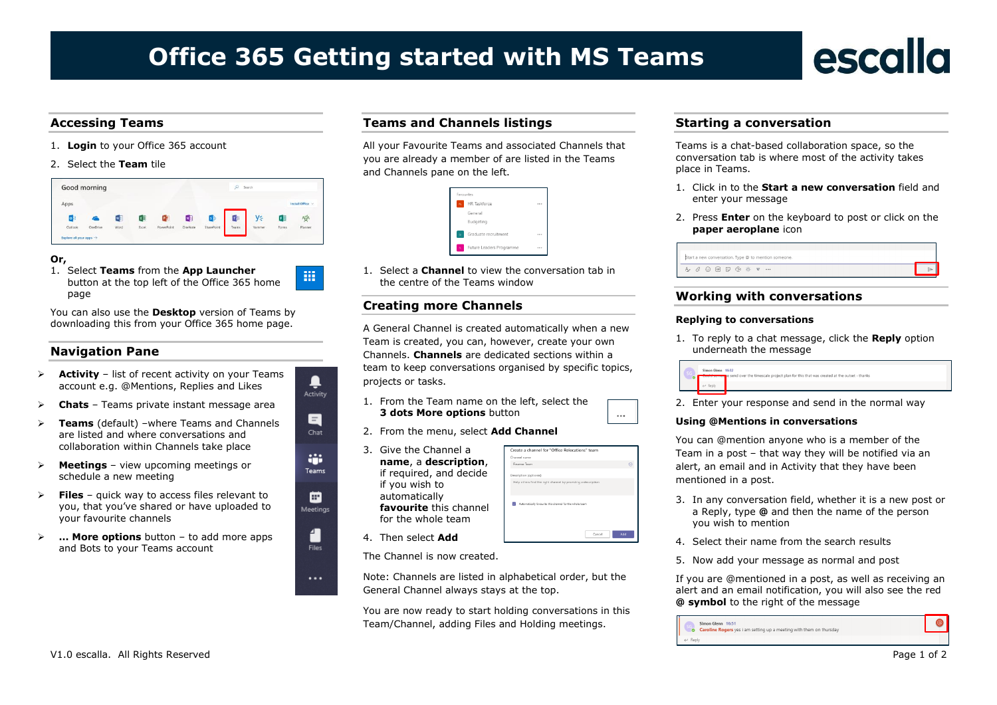# **Office 365 Getting started with MS Teams**

# escalla

- 1. **Login** to your Office 365 account
- 2. Select the **Team** tile

|                            | Good morning    |      |       |                |          |            | ø     | Search |       |                  |
|----------------------------|-----------------|------|-------|----------------|----------|------------|-------|--------|-------|------------------|
| Apps                       |                 |      |       |                |          |            |       |        |       | Install Office V |
| $\circ$ $\overline{\circ}$ | a               | w    | lx≣   | P <sub>2</sub> | <b>N</b> | ß.         | τB    | y⊱     | 干量    | 学                |
| Outlook                    | <b>OneDrive</b> | Word | Excel | PowerPoint     | OneNote  | SharePoint | Teams | Yammer | Forms | Planner          |

疆

₽ Activity

> Е Chat

÷ Teams

▣ Meetings

> 4 **Files**

 $\cdots$ 

#### **Or,**

1. Select **Teams** from the **App Launcher** button at the top left of the Office 365 home page

You can also use the **Desktop** version of Teams by downloading this from your Office 365 home page.

#### **Navigation Pane**

- ➢ **Activity** list of recent activity on your Teams account e.g. @Mentions, Replies and Likes
- ➢ **Chats** Teams private instant message area
- ➢ **Teams** (default) –where Teams and Channels are listed and where conversations and collaboration within Channels take place
- **Meetings** view upcoming meetings or schedule a new meeting
- **Files** quick way to access files relevant to you, that you've shared or have uploaded to your favourite channels
- ➢ **… More options** button to add more apps and Bots to your Teams account

## **Accessing Teams Document Title Teams and Channels listings**

All your Favourite Teams and associated Channels that you are already a member of are listed in the Teams and Channels pane on the left.

|          | Favourites               |          |
|----------|--------------------------|----------|
| RG.      | HR Taskforce             | 1.11     |
|          | General                  |          |
|          | Budgeting                |          |
| $\alpha$ | Graduate recruitment     | $\cdots$ |
| ĸ.       | Future Leaders Programme | $\sim$   |

1. Select a **Channel** to view the conversation tab in the centre of the Teams window

### **Creating more Channels**

A General Channel is created automatically when a new Team is created, you can, however, create your own Channels. **Channels** are dedicated sections within a team to keep conversations organised by specific topics, projects or tasks.

- 1. From the Team name on the left, select the **3 dots More options** button
- 2. From the menu, select **Add Channel**
- 3. Give the Channel a **name**, a **description**, if required, and decide if you wish to automatically **favourite** this channel for the whole team

|    | Create a channel for "Office Relocations" team                |  |
|----|---------------------------------------------------------------|--|
|    | Channel name                                                  |  |
| ۱, | Finance Team                                                  |  |
|    | Description (optional)                                        |  |
|    | Help others find the right channel by providing a description |  |
|    | Automatically favourite this channel for the whole team       |  |
|    | Add<br>Cancel                                                 |  |

 $\overline{\phantom{a}}$ 

4. Then select **Add**

The Channel is now created.

Note: Channels are listed in alphabetical order, but the General Channel always stays at the top.

You are now ready to start holding conversations in this Team/Channel, adding Files and Holding meetings.

#### **Starting a conversation**

Teams is a chat-based collaboration space, so the conversation tab is where most of the activity takes place in Teams.

- 1. Click in to the **Start a new conversation** field and enter your message
- 2. Press **Enter** on the keyboard to post or click on the **paper aeroplane** icon

| Start a new conversation. Type @ to mention someone. |  |  |  |  |  |  |
|------------------------------------------------------|--|--|--|--|--|--|
|                                                      |  |  |  |  |  |  |

### **Working with conversations**

#### **Replying to conversations**

1. To reply to a chat message, click the **Reply** option underneath the message



2. Enter your response and send in the normal way

#### **Using @Mentions in conversations**

You can @mention anyone who is a member of the Team in a post – that way they will be notified via an alert, an email and in Activity that they have been mentioned in a post.

- 3. In any conversation field, whether it is a new post or a Reply, type **@** and then the name of the person you wish to mention
- 4. Select their name from the search results
- 5. Now add your message as normal and post

If you are @mentioned in a post, as well as receiving an alert and an email notification, you will also see the red **@ symbol** to the right of the message